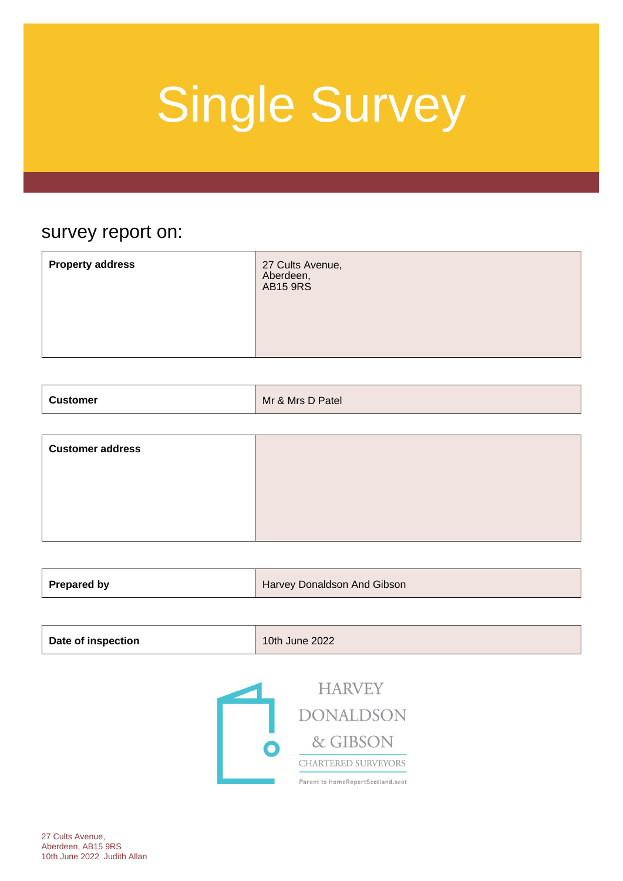### survey report on:

| <b>Property address</b><br>27 Cults Avenue,<br>Aberdeen,<br>AB15 9RS |
|----------------------------------------------------------------------|
|----------------------------------------------------------------------|

| <b>Customer</b> | Mr & Mrs D Patel |
|-----------------|------------------|
|-----------------|------------------|

| <b>Customer address</b> |  |
|-------------------------|--|
|                         |  |
|                         |  |
|                         |  |

| Prepared by<br>Harvey Donaldson And Gibson |
|--------------------------------------------|
|--------------------------------------------|

| <b>Date of inspection</b> | 10th June 2022 |
|---------------------------|----------------|
|---------------------------|----------------|



**HARVEY DONALDSON** & GIBSON CHARTERED SURVEYORS Parent to HomeReportScotland.scot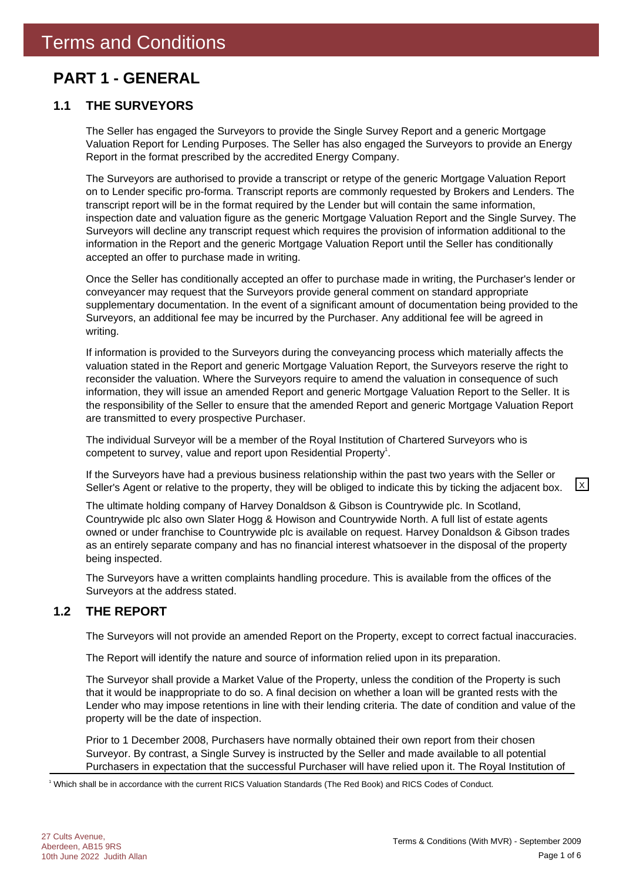### **PART 1 - GENERAL**

### **1.1 THE SURVEYORS**

The Seller has engaged the Surveyors to provide the Single Survey Report and a generic Mortgage Valuation Report for Lending Purposes. The Seller has also engaged the Surveyors to provide an Energy Report in the format prescribed by the accredited Energy Company.

The Surveyors are authorised to provide a transcript or retype of the generic Mortgage Valuation Report on to Lender specific pro-forma. Transcript reports are commonly requested by Brokers and Lenders. The transcript report will be in the format required by the Lender but will contain the same information, inspection date and valuation figure as the generic Mortgage Valuation Report and the Single Survey. The Surveyors will decline any transcript request which requires the provision of information additional to the information in the Report and the generic Mortgage Valuation Report until the Seller has conditionally accepted an offer to purchase made in writing.

Once the Seller has conditionally accepted an offer to purchase made in writing, the Purchaser's lender or conveyancer may request that the Surveyors provide general comment on standard appropriate supplementary documentation. In the event of a significant amount of documentation being provided to the Surveyors, an additional fee may be incurred by the Purchaser. Any additional fee will be agreed in writing.

If information is provided to the Surveyors during the conveyancing process which materially affects the valuation stated in the Report and generic Mortgage Valuation Report, the Surveyors reserve the right to reconsider the valuation. Where the Surveyors require to amend the valuation in consequence of such information, they will issue an amended Report and generic Mortgage Valuation Report to the Seller. It is the responsibility of the Seller to ensure that the amended Report and generic Mortgage Valuation Report are transmitted to every prospective Purchaser.

The individual Surveyor will be a member of the Royal Institution of Chartered Surveyors who is competent to survey, value and report upon Residential Property<sup>1</sup>.

If the Surveyors have had a previous business relationship within the past two years with the Seller or Seller's Agent or relative to the property, they will be obliged to indicate this by ticking the adjacent box.  $\boxed{\times}$ 

The ultimate holding company of Harvey Donaldson & Gibson is Countrywide plc. In Scotland, Countrywide plc also own Slater Hogg & Howison and Countrywide North. A full list of estate agents owned or under franchise to Countrywide plc is available on request. Harvey Donaldson & Gibson trades as an entirely separate company and has no financial interest whatsoever in the disposal of the property being inspected.

The Surveyors have a written complaints handling procedure. This is available from the offices of the Surveyors at the address stated.

### **1.2 THE REPORT**

The Surveyors will not provide an amended Report on the Property, except to correct factual inaccuracies.

The Report will identify the nature and source of information relied upon in its preparation.

The Surveyor shall provide a Market Value of the Property, unless the condition of the Property is such that it would be inappropriate to do so. A final decision on whether a loan will be granted rests with the Lender who may impose retentions in line with their lending criteria. The date of condition and value of the property will be the date of inspection.

Prior to 1 December 2008, Purchasers have normally obtained their own report from their chosen Surveyor. By contrast, a Single Survey is instructed by the Seller and made available to all potential Purchasers in expectation that the successful Purchaser will have relied upon it. The Royal Institution of

1 Which shall be in accordance with the current RICS Valuation Standards (The Red Book) and RICS Codes of Conduct.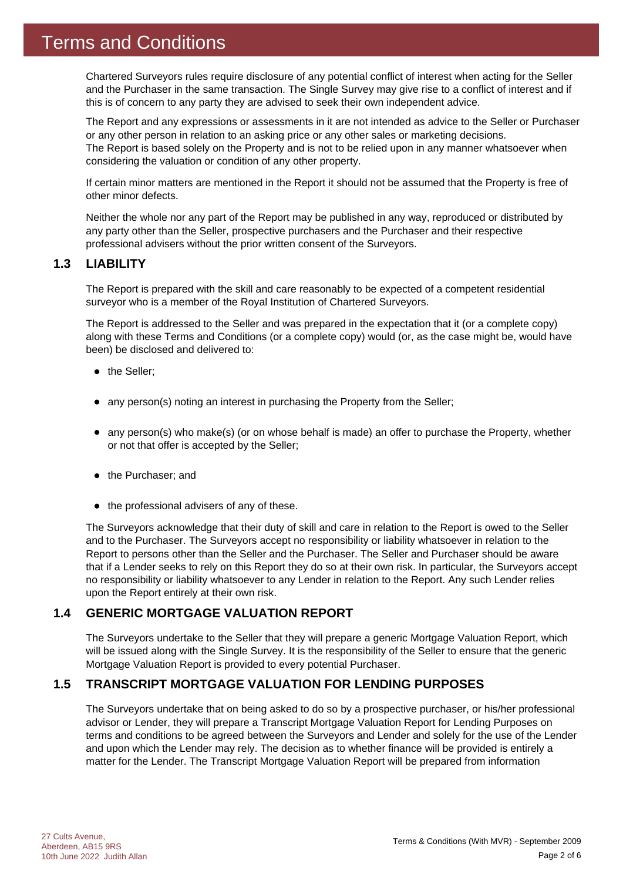Chartered Surveyors rules require disclosure of any potential conflict of interest when acting for the Seller and the Purchaser in the same transaction. The Single Survey may give rise to a conflict of interest and if this is of concern to any party they are advised to seek their own independent advice.

The Report and any expressions or assessments in it are not intended as advice to the Seller or Purchaser or any other person in relation to an asking price or any other sales or marketing decisions. The Report is based solely on the Property and is not to be relied upon in any manner whatsoever when considering the valuation or condition of any other property.

If certain minor matters are mentioned in the Report it should not be assumed that the Property is free of other minor defects.

Neither the whole nor any part of the Report may be published in any way, reproduced or distributed by any party other than the Seller, prospective purchasers and the Purchaser and their respective professional advisers without the prior written consent of the Surveyors.

### **1.3 LIABILITY**

The Report is prepared with the skill and care reasonably to be expected of a competent residential surveyor who is a member of the Royal Institution of Chartered Surveyors.

The Report is addressed to the Seller and was prepared in the expectation that it (or a complete copy) along with these Terms and Conditions (or a complete copy) would (or, as the case might be, would have been) be disclosed and delivered to:

- the Seller;
- any person(s) noting an interest in purchasing the Property from the Seller;
- any person(s) who make(s) (or on whose behalf is made) an offer to purchase the Property, whether or not that offer is accepted by the Seller;
- the Purchaser; and
- $\bullet$  the professional advisers of any of these.

The Surveyors acknowledge that their duty of skill and care in relation to the Report is owed to the Seller and to the Purchaser. The Surveyors accept no responsibility or liability whatsoever in relation to the Report to persons other than the Seller and the Purchaser. The Seller and Purchaser should be aware that if a Lender seeks to rely on this Report they do so at their own risk. In particular, the Surveyors accept no responsibility or liability whatsoever to any Lender in relation to the Report. Any such Lender relies upon the Report entirely at their own risk.

### **1.4 GENERIC MORTGAGE VALUATION REPORT**

The Surveyors undertake to the Seller that they will prepare a generic Mortgage Valuation Report, which will be issued along with the Single Survey. It is the responsibility of the Seller to ensure that the generic Mortgage Valuation Report is provided to every potential Purchaser.

### **1.5 TRANSCRIPT MORTGAGE VALUATION FOR LENDING PURPOSES**

The Surveyors undertake that on being asked to do so by a prospective purchaser, or his/her professional advisor or Lender, they will prepare a Transcript Mortgage Valuation Report for Lending Purposes on terms and conditions to be agreed between the Surveyors and Lender and solely for the use of the Lender and upon which the Lender may rely. The decision as to whether finance will be provided is entirely a matter for the Lender. The Transcript Mortgage Valuation Report will be prepared from information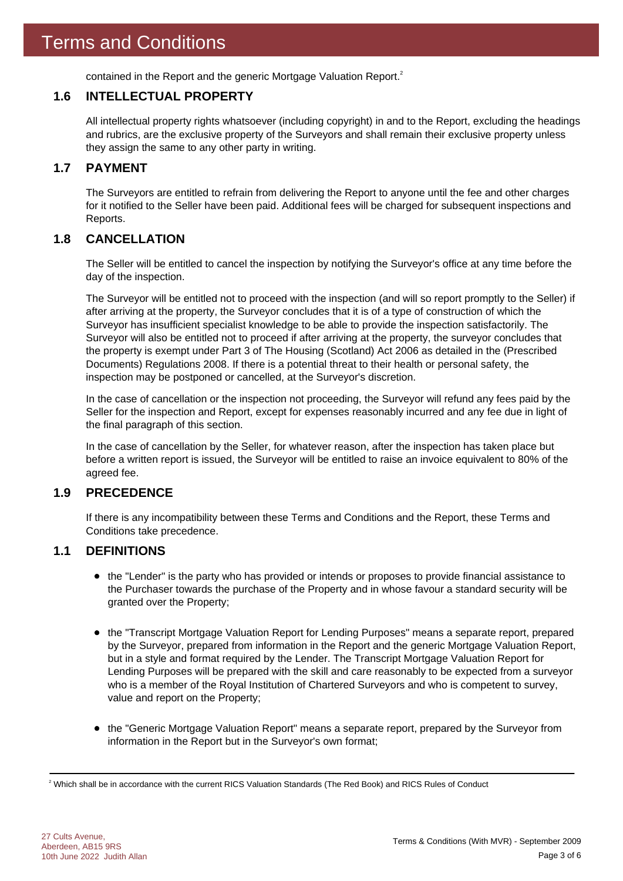contained in the Report and the generic Mortgage Valuation Report.<sup>2</sup>

### **1.6 INTELLECTUAL PROPERTY**

All intellectual property rights whatsoever (including copyright) in and to the Report, excluding the headings and rubrics, are the exclusive property of the Surveyors and shall remain their exclusive property unless they assign the same to any other party in writing.

### **1.7 PAYMENT**

The Surveyors are entitled to refrain from delivering the Report to anyone until the fee and other charges for it notified to the Seller have been paid. Additional fees will be charged for subsequent inspections and Reports.

### **1.8 CANCELLATION**

The Seller will be entitled to cancel the inspection by notifying the Surveyor's office at any time before the day of the inspection.

The Surveyor will be entitled not to proceed with the inspection (and will so report promptly to the Seller) if after arriving at the property, the Surveyor concludes that it is of a type of construction of which the Surveyor has insufficient specialist knowledge to be able to provide the inspection satisfactorily. The Surveyor will also be entitled not to proceed if after arriving at the property, the surveyor concludes that the property is exempt under Part 3 of The Housing (Scotland) Act 2006 as detailed in the (Prescribed Documents) Regulations 2008. If there is a potential threat to their health or personal safety, the inspection may be postponed or cancelled, at the Surveyor's discretion.

In the case of cancellation or the inspection not proceeding, the Surveyor will refund any fees paid by the Seller for the inspection and Report, except for expenses reasonably incurred and any fee due in light of the final paragraph of this section.

In the case of cancellation by the Seller, for whatever reason, after the inspection has taken place but before a written report is issued, the Surveyor will be entitled to raise an invoice equivalent to 80% of the agreed fee.

### **1.9 PRECEDENCE**

If there is any incompatibility between these Terms and Conditions and the Report, these Terms and Conditions take precedence.

### **1.1 DEFINITIONS**

- the "Lender" is the party who has provided or intends or proposes to provide financial assistance to the Purchaser towards the purchase of the Property and in whose favour a standard security will be granted over the Property;
- the "Transcript Mortgage Valuation Report for Lending Purposes" means a separate report, prepared by the Surveyor, prepared from information in the Report and the generic Mortgage Valuation Report, but in a style and format required by the Lender. The Transcript Mortgage Valuation Report for Lending Purposes will be prepared with the skill and care reasonably to be expected from a surveyor who is a member of the Royal Institution of Chartered Surveyors and who is competent to survey, value and report on the Property;
- the "Generic Mortgage Valuation Report" means a separate report, prepared by the Surveyor from information in the Report but in the Surveyor's own format;

 $^2$  Which shall be in accordance with the current RICS Valuation Standards (The Red Book) and RICS Rules of Conduct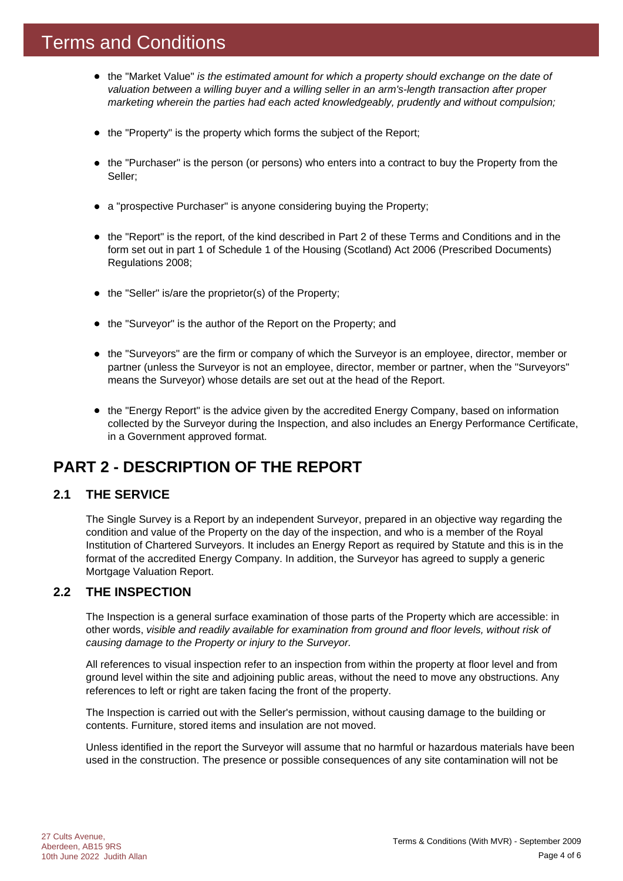### Terms and Conditions

- the "Market Value" *is the estimated amount for which a property should exchange on the date of valuation between a willing buyer and a willing seller in an arm's-length transaction after proper marketing wherein the parties had each acted knowledgeably, prudently and without compulsion;*
- the "Property" is the property which forms the subject of the Report;
- the "Purchaser" is the person (or persons) who enters into a contract to buy the Property from the Seller;
- a "prospective Purchaser" is anyone considering buying the Property;
- the "Report" is the report, of the kind described in Part 2 of these Terms and Conditions and in the form set out in part 1 of Schedule 1 of the Housing (Scotland) Act 2006 (Prescribed Documents) Regulations 2008;
- $\bullet$  the "Seller" is/are the proprietor(s) of the Property;
- the "Surveyor" is the author of the Report on the Property; and
- the "Surveyors" are the firm or company of which the Surveyor is an employee, director, member or partner (unless the Surveyor is not an employee, director, member or partner, when the "Surveyors" means the Surveyor) whose details are set out at the head of the Report.
- the "Energy Report" is the advice given by the accredited Energy Company, based on information collected by the Surveyor during the Inspection, and also includes an Energy Performance Certificate, in a Government approved format.

### **PART 2 - DESCRIPTION OF THE REPORT**

### **2.1 THE SERVICE**

The Single Survey is a Report by an independent Surveyor, prepared in an objective way regarding the condition and value of the Property on the day of the inspection, and who is a member of the Royal Institution of Chartered Surveyors. It includes an Energy Report as required by Statute and this is in the format of the accredited Energy Company. In addition, the Surveyor has agreed to supply a generic Mortgage Valuation Report.

### **2.2 THE INSPECTION**

The Inspection is a general surface examination of those parts of the Property which are accessible: in other words, *visible and readily available for examination from ground and floor levels, without risk of causing damage to the Property or injury to the Surveyor.*

All references to visual inspection refer to an inspection from within the property at floor level and from ground level within the site and adjoining public areas, without the need to move any obstructions. Any references to left or right are taken facing the front of the property.

The Inspection is carried out with the Seller's permission, without causing damage to the building or contents. Furniture, stored items and insulation are not moved.

Unless identified in the report the Surveyor will assume that no harmful or hazardous materials have been used in the construction. The presence or possible consequences of any site contamination will not be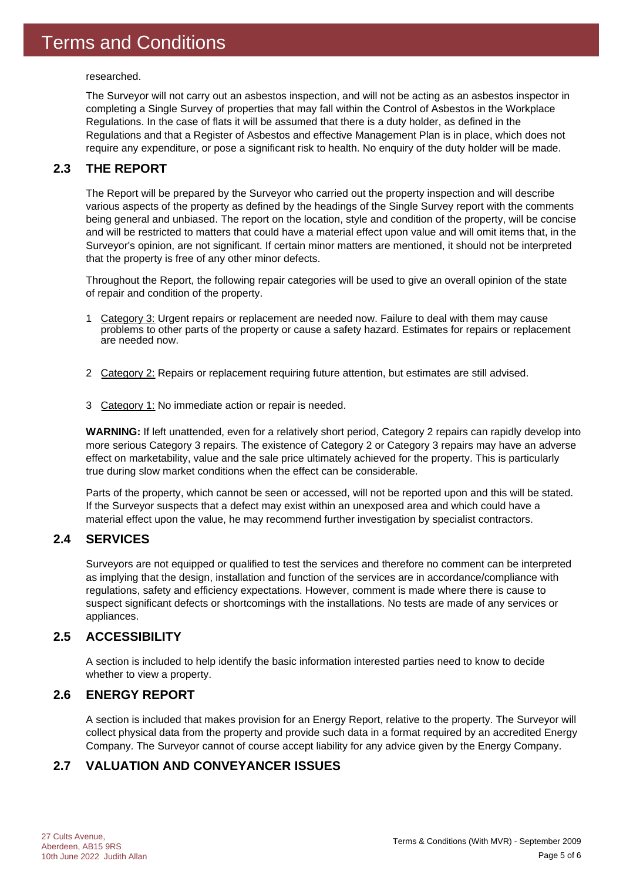researched.

The Surveyor will not carry out an asbestos inspection, and will not be acting as an asbestos inspector in completing a Single Survey of properties that may fall within the Control of Asbestos in the Workplace Regulations. In the case of flats it will be assumed that there is a duty holder, as defined in the Regulations and that a Register of Asbestos and effective Management Plan is in place, which does not require any expenditure, or pose a significant risk to health. No enquiry of the duty holder will be made.

### **2.3 THE REPORT**

The Report will be prepared by the Surveyor who carried out the property inspection and will describe various aspects of the property as defined by the headings of the Single Survey report with the comments being general and unbiased. The report on the location, style and condition of the property, will be concise and will be restricted to matters that could have a material effect upon value and will omit items that, in the Surveyor's opinion, are not significant. If certain minor matters are mentioned, it should not be interpreted that the property is free of any other minor defects.

Throughout the Report, the following repair categories will be used to give an overall opinion of the state of repair and condition of the property.

- 1 Category 3: Urgent repairs or replacement are needed now. Failure to deal with them may cause problems to other parts of the property or cause a safety hazard. Estimates for repairs or replacement are needed now.
- 2 Category 2: Repairs or replacement requiring future attention, but estimates are still advised.
- 3 Category 1: No immediate action or repair is needed.

**WARNING:** If left unattended, even for a relatively short period, Category 2 repairs can rapidly develop into more serious Category 3 repairs. The existence of Category 2 or Category 3 repairs may have an adverse effect on marketability, value and the sale price ultimately achieved for the property. This is particularly true during slow market conditions when the effect can be considerable.

Parts of the property, which cannot be seen or accessed, will not be reported upon and this will be stated. If the Surveyor suspects that a defect may exist within an unexposed area and which could have a material effect upon the value, he may recommend further investigation by specialist contractors.

### **2.4 SERVICES**

Surveyors are not equipped or qualified to test the services and therefore no comment can be interpreted as implying that the design, installation and function of the services are in accordance/compliance with regulations, safety and efficiency expectations. However, comment is made where there is cause to suspect significant defects or shortcomings with the installations. No tests are made of any services or appliances.

### **2.5 ACCESSIBILITY**

A section is included to help identify the basic information interested parties need to know to decide whether to view a property.

### **2.6 ENERGY REPORT**

A section is included that makes provision for an Energy Report, relative to the property. The Surveyor will collect physical data from the property and provide such data in a format required by an accredited Energy Company. The Surveyor cannot of course accept liability for any advice given by the Energy Company.

### **2.7 VALUATION AND CONVEYANCER ISSUES**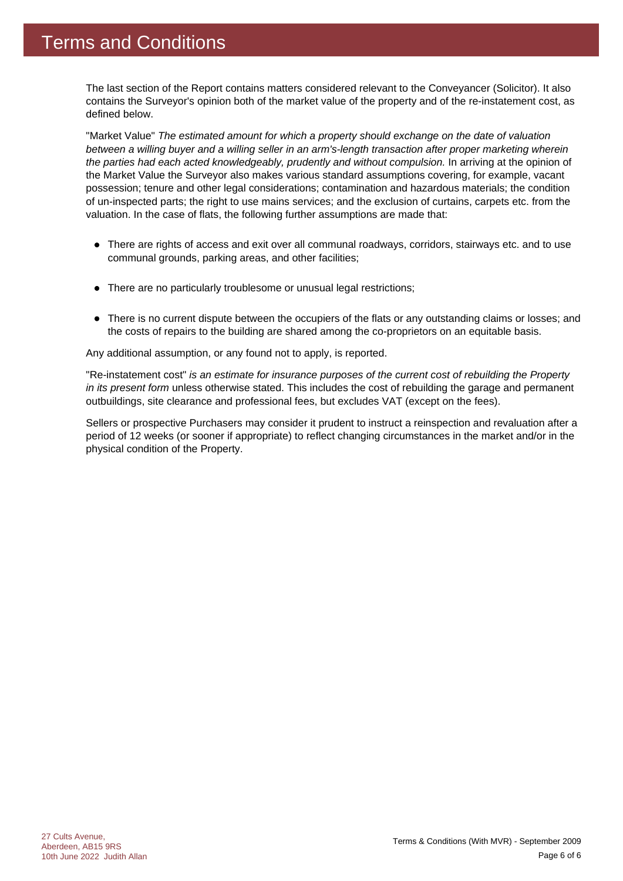The last section of the Report contains matters considered relevant to the Conveyancer (Solicitor). It also contains the Surveyor's opinion both of the market value of the property and of the re-instatement cost, as defined below.

"Market Value" *The estimated amount for which a property should exchange on the date of valuation between a willing buyer and a willing seller in an arm's-length transaction after proper marketing wherein the parties had each acted knowledgeably, prudently and without compulsion.* In arriving at the opinion of the Market Value the Surveyor also makes various standard assumptions covering, for example, vacant possession; tenure and other legal considerations; contamination and hazardous materials; the condition of un-inspected parts; the right to use mains services; and the exclusion of curtains, carpets etc. from the valuation. In the case of flats, the following further assumptions are made that:

- There are rights of access and exit over all communal roadways, corridors, stairways etc. and to use communal grounds, parking areas, and other facilities;
- There are no particularly troublesome or unusual legal restrictions;
- There is no current dispute between the occupiers of the flats or any outstanding claims or losses; and the costs of repairs to the building are shared among the co-proprietors on an equitable basis.

Any additional assumption, or any found not to apply, is reported.

"Re-instatement cost" *is an estimate for insurance purposes of the current cost of rebuilding the Property in its present form* unless otherwise stated. This includes the cost of rebuilding the garage and permanent outbuildings, site clearance and professional fees, but excludes VAT (except on the fees).

Sellers or prospective Purchasers may consider it prudent to instruct a reinspection and revaluation after a period of 12 weeks (or sooner if appropriate) to reflect changing circumstances in the market and/or in the physical condition of the Property.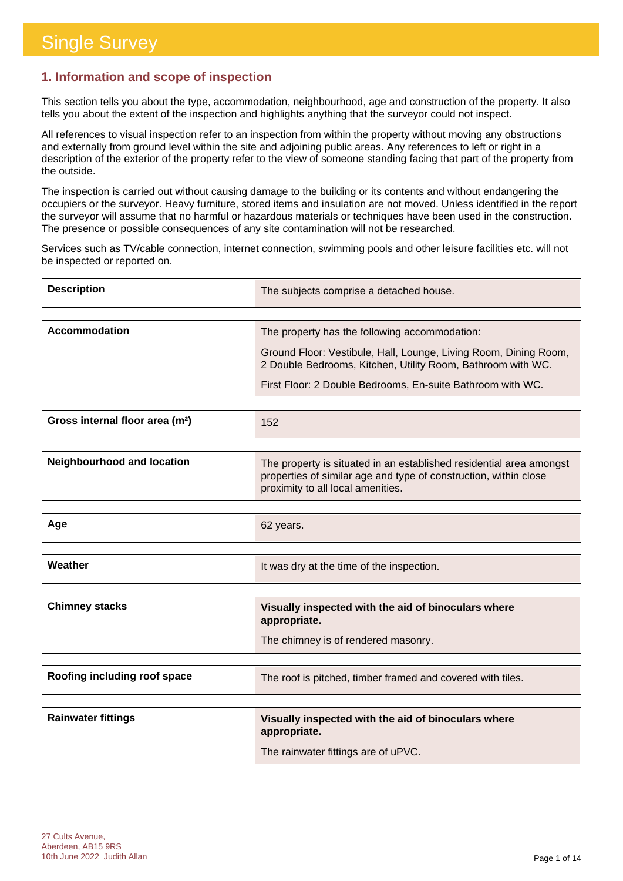### **1. Information and scope of inspection**

This section tells you about the type, accommodation, neighbourhood, age and construction of the property. It also tells you about the extent of the inspection and highlights anything that the surveyor could not inspect.

All references to visual inspection refer to an inspection from within the property without moving any obstructions and externally from ground level within the site and adjoining public areas. Any references to left or right in a description of the exterior of the property refer to the view of someone standing facing that part of the property from the outside.

The inspection is carried out without causing damage to the building or its contents and without endangering the occupiers or the surveyor. Heavy furniture, stored items and insulation are not moved. Unless identified in the report the surveyor will assume that no harmful or hazardous materials or techniques have been used in the construction. The presence or possible consequences of any site contamination will not be researched.

Services such as TV/cable connection, internet connection, swimming pools and other leisure facilities etc. will not be inspected or reported on.

| <b>Description</b> | The subjects comprise a detached house.                                                                                         |
|--------------------|---------------------------------------------------------------------------------------------------------------------------------|
|                    |                                                                                                                                 |
| Accommodation      | The property has the following accommodation:                                                                                   |
|                    | Ground Floor: Vestibule, Hall, Lounge, Living Room, Dining Room,<br>2 Double Bedrooms, Kitchen, Utility Room, Bathroom with WC. |
|                    | First Floor: 2 Double Bedrooms, En-suite Bathroom with WC.                                                                      |

| Gross internal floor area (m <sup>2</sup> ) | 152 |
|---------------------------------------------|-----|
|                                             |     |

| <b>Neighbourhood and location</b> | The property is situated in an established residential area amongst<br>properties of similar age and type of construction, within close<br>proximity to all local amenities. |
|-----------------------------------|------------------------------------------------------------------------------------------------------------------------------------------------------------------------------|
|                                   |                                                                                                                                                                              |

| Age     | 62 years.                                 |
|---------|-------------------------------------------|
|         |                                           |
| Weather | It was dry at the time of the inspection. |

| <b>Chimney stacks</b> | Visually inspected with the aid of binoculars where<br>appropriate. |
|-----------------------|---------------------------------------------------------------------|
|                       | The chimney is of rendered masonry.                                 |

| Roofing including roof space | The roof is pitched, timber framed and covered with tiles.          |
|------------------------------|---------------------------------------------------------------------|
|                              |                                                                     |
| <b>Rainwater fittings</b>    | Visually inspected with the aid of binoculars where<br>appropriate. |
|                              | The rainwater fittings are of uPVC.                                 |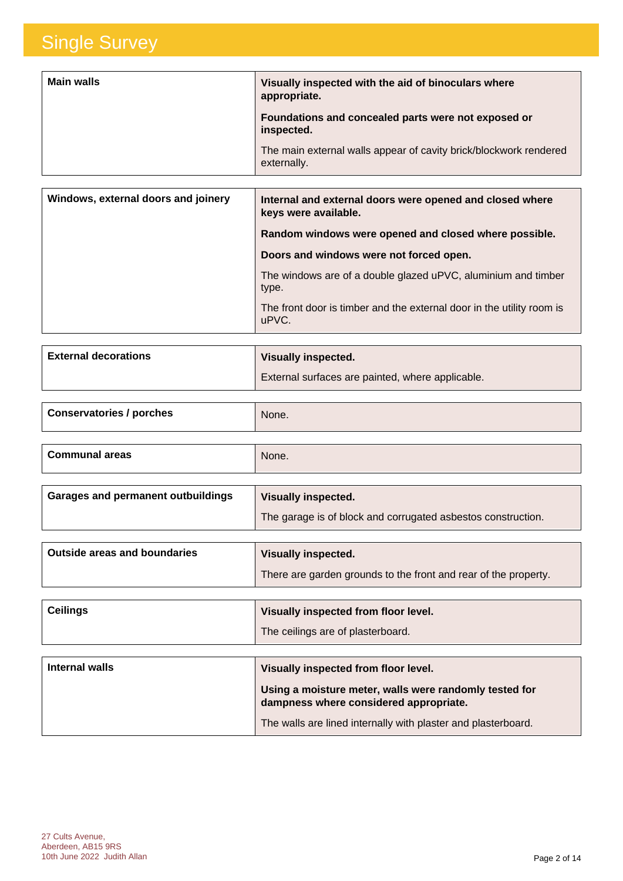| <b>Main walls</b> | Visually inspected with the aid of binoculars where<br>appropriate.              |
|-------------------|----------------------------------------------------------------------------------|
|                   | Foundations and concealed parts were not exposed or<br>inspected.                |
|                   | The main external walls appear of cavity brick/blockwork rendered<br>externally. |

| Windows, external doors and joinery | Internal and external doors were opened and closed where<br>keys were available. |
|-------------------------------------|----------------------------------------------------------------------------------|
|                                     | Random windows were opened and closed where possible.                            |
|                                     | Doors and windows were not forced open.                                          |
|                                     | The windows are of a double glazed uPVC, aluminium and timber<br>type.           |
|                                     | The front door is timber and the external door in the utility room is<br>uPVC.   |

| <b>External decorations</b> | <b>Visually inspected.</b>                       |
|-----------------------------|--------------------------------------------------|
|                             | External surfaces are painted, where applicable. |

| <b>Conservatories / porches</b>           | None.                                                        |
|-------------------------------------------|--------------------------------------------------------------|
|                                           |                                                              |
| <b>Communal areas</b>                     | None.                                                        |
|                                           |                                                              |
| <b>Garages and permanent outbuildings</b> | <b>Visually inspected.</b>                                   |
|                                           | The garage is of block and corrugated asbestos construction. |

| <b>Outside areas and boundaries</b> | Visually inspected.                                             |
|-------------------------------------|-----------------------------------------------------------------|
|                                     | There are garden grounds to the front and rear of the property. |

| <b>Ceilings</b> | Visually inspected from floor level. |
|-----------------|--------------------------------------|
|                 | The ceilings are of plasterboard.    |

| Internal walls | Visually inspected from floor level.                                                             |
|----------------|--------------------------------------------------------------------------------------------------|
|                | Using a moisture meter, walls were randomly tested for<br>dampness where considered appropriate. |
|                | The walls are lined internally with plaster and plasterboard.                                    |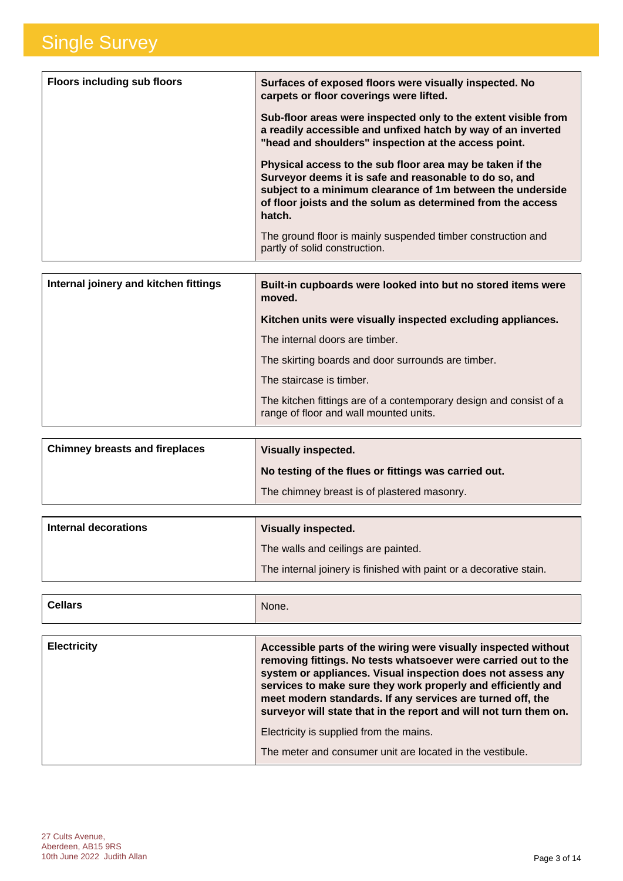| <b>Floors including sub floors</b> | Surfaces of exposed floors were visually inspected. No<br>carpets or floor coverings were lifted.                                                                                                                                                          |
|------------------------------------|------------------------------------------------------------------------------------------------------------------------------------------------------------------------------------------------------------------------------------------------------------|
|                                    | Sub-floor areas were inspected only to the extent visible from<br>a readily accessible and unfixed hatch by way of an inverted<br>"head and shoulders" inspection at the access point.                                                                     |
|                                    | Physical access to the sub floor area may be taken if the<br>Surveyor deems it is safe and reasonable to do so, and<br>subject to a minimum clearance of 1m between the underside<br>of floor joists and the solum as determined from the access<br>hatch. |
|                                    | The ground floor is mainly suspended timber construction and<br>partly of solid construction.                                                                                                                                                              |

| Internal joinery and kitchen fittings | Built-in cupboards were looked into but no stored items were<br>moved.                                       |
|---------------------------------------|--------------------------------------------------------------------------------------------------------------|
|                                       | Kitchen units were visually inspected excluding appliances.                                                  |
|                                       | The internal doors are timber.                                                                               |
|                                       | The skirting boards and door surrounds are timber.                                                           |
|                                       | The staircase is timber.                                                                                     |
|                                       | The kitchen fittings are of a contemporary design and consist of a<br>range of floor and wall mounted units. |

| <b>Chimney breasts and fireplaces</b> | <b>Visually inspected.</b>                           |
|---------------------------------------|------------------------------------------------------|
|                                       | No testing of the flues or fittings was carried out. |
|                                       | The chimney breast is of plastered masonry.          |

| Internal decorations | <b>Visually inspected.</b>                                         |
|----------------------|--------------------------------------------------------------------|
|                      | The walls and ceilings are painted.                                |
|                      | The internal joinery is finished with paint or a decorative stain. |

| <b>Cellars</b> | None. |
|----------------|-------|
|                |       |

| <b>Electricity</b> | Accessible parts of the wiring were visually inspected without<br>removing fittings. No tests whatsoever were carried out to the<br>system or appliances. Visual inspection does not assess any<br>services to make sure they work properly and efficiently and<br>meet modern standards. If any services are turned off, the<br>surveyor will state that in the report and will not turn them on. |
|--------------------|----------------------------------------------------------------------------------------------------------------------------------------------------------------------------------------------------------------------------------------------------------------------------------------------------------------------------------------------------------------------------------------------------|
|                    | Electricity is supplied from the mains.                                                                                                                                                                                                                                                                                                                                                            |
|                    | The meter and consumer unit are located in the vestibule.                                                                                                                                                                                                                                                                                                                                          |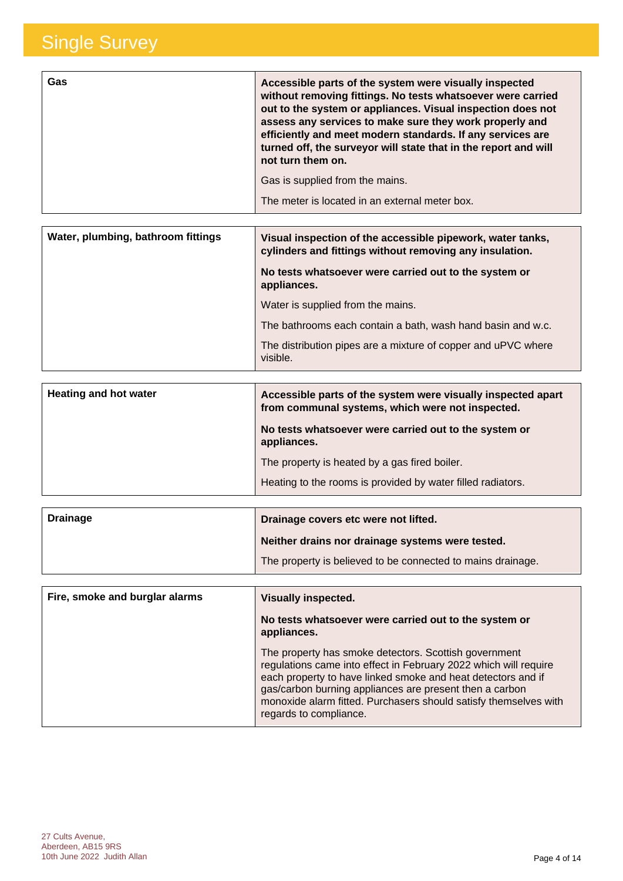| Gas | Accessible parts of the system were visually inspected<br>without removing fittings. No tests whatsoever were carried<br>out to the system or appliances. Visual inspection does not<br>assess any services to make sure they work properly and |
|-----|-------------------------------------------------------------------------------------------------------------------------------------------------------------------------------------------------------------------------------------------------|
|     | efficiently and meet modern standards. If any services are<br>turned off, the surveyor will state that in the report and will<br>not turn them on.                                                                                              |
|     | Gas is supplied from the mains.                                                                                                                                                                                                                 |
|     | The meter is located in an external meter box.                                                                                                                                                                                                  |

| Water, plumbing, bathroom fittings | Visual inspection of the accessible pipework, water tanks,<br>cylinders and fittings without removing any insulation. |
|------------------------------------|-----------------------------------------------------------------------------------------------------------------------|
|                                    | No tests whatsoever were carried out to the system or<br>appliances.                                                  |
|                                    | Water is supplied from the mains.                                                                                     |
|                                    | The bathrooms each contain a bath, wash hand basin and w.c.                                                           |
|                                    | The distribution pipes are a mixture of copper and uPVC where<br>visible.                                             |

| <b>Heating and hot water</b> | Accessible parts of the system were visually inspected apart<br>from communal systems, which were not inspected. |
|------------------------------|------------------------------------------------------------------------------------------------------------------|
|                              | No tests whatsoever were carried out to the system or<br>appliances.                                             |
|                              | The property is heated by a gas fired boiler.                                                                    |
|                              | Heating to the rooms is provided by water filled radiators.                                                      |

| <b>Drainage</b> | Drainage covers etc were not lifted.                        |
|-----------------|-------------------------------------------------------------|
|                 | Neither drains nor drainage systems were tested.            |
|                 | The property is believed to be connected to mains drainage. |

| Fire, smoke and burglar alarms | <b>Visually inspected.</b>                                                                                                                                                                                                                                                                                                                         |
|--------------------------------|----------------------------------------------------------------------------------------------------------------------------------------------------------------------------------------------------------------------------------------------------------------------------------------------------------------------------------------------------|
|                                | No tests whatsoever were carried out to the system or<br>appliances.                                                                                                                                                                                                                                                                               |
|                                | The property has smoke detectors. Scottish government<br>regulations came into effect in February 2022 which will require<br>each property to have linked smoke and heat detectors and if<br>gas/carbon burning appliances are present then a carbon<br>monoxide alarm fitted. Purchasers should satisfy themselves with<br>regards to compliance. |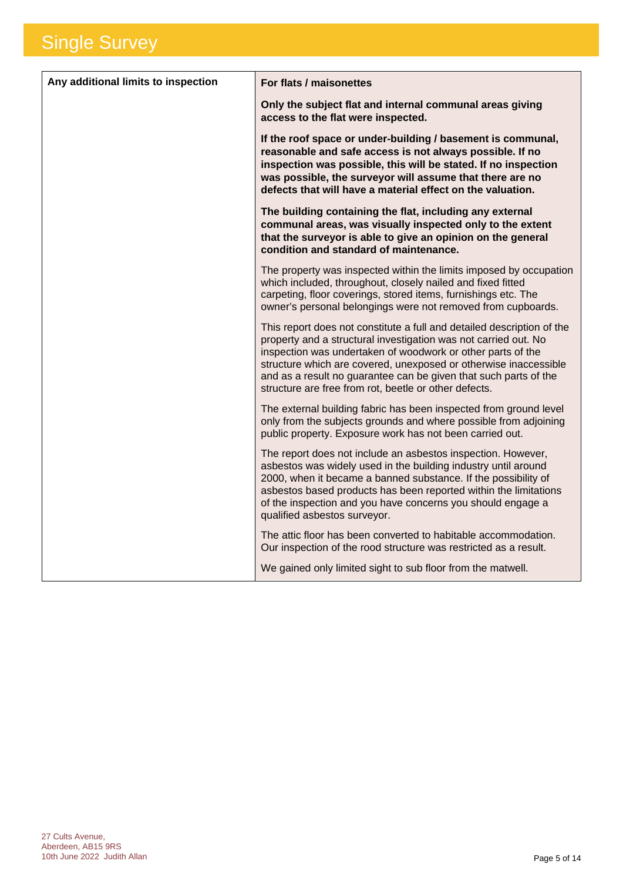| Any additional limits to inspection | For flats / maisonettes                                                                                                                                                                                                                                                                                                                                                                                   |
|-------------------------------------|-----------------------------------------------------------------------------------------------------------------------------------------------------------------------------------------------------------------------------------------------------------------------------------------------------------------------------------------------------------------------------------------------------------|
|                                     | Only the subject flat and internal communal areas giving<br>access to the flat were inspected.                                                                                                                                                                                                                                                                                                            |
|                                     | If the roof space or under-building / basement is communal,<br>reasonable and safe access is not always possible. If no<br>inspection was possible, this will be stated. If no inspection<br>was possible, the surveyor will assume that there are no<br>defects that will have a material effect on the valuation.                                                                                       |
|                                     | The building containing the flat, including any external<br>communal areas, was visually inspected only to the extent<br>that the surveyor is able to give an opinion on the general<br>condition and standard of maintenance.                                                                                                                                                                            |
|                                     | The property was inspected within the limits imposed by occupation<br>which included, throughout, closely nailed and fixed fitted<br>carpeting, floor coverings, stored items, furnishings etc. The<br>owner's personal belongings were not removed from cupboards.                                                                                                                                       |
|                                     | This report does not constitute a full and detailed description of the<br>property and a structural investigation was not carried out. No<br>inspection was undertaken of woodwork or other parts of the<br>structure which are covered, unexposed or otherwise inaccessible<br>and as a result no guarantee can be given that such parts of the<br>structure are free from rot, beetle or other defects. |
|                                     | The external building fabric has been inspected from ground level<br>only from the subjects grounds and where possible from adjoining<br>public property. Exposure work has not been carried out.                                                                                                                                                                                                         |
|                                     | The report does not include an asbestos inspection. However,<br>asbestos was widely used in the building industry until around<br>2000, when it became a banned substance. If the possibility of<br>asbestos based products has been reported within the limitations<br>of the inspection and you have concerns you should engage a<br>qualified asbestos surveyor.                                       |
|                                     | The attic floor has been converted to habitable accommodation.<br>Our inspection of the rood structure was restricted as a result.                                                                                                                                                                                                                                                                        |
|                                     | We gained only limited sight to sub floor from the matwell.                                                                                                                                                                                                                                                                                                                                               |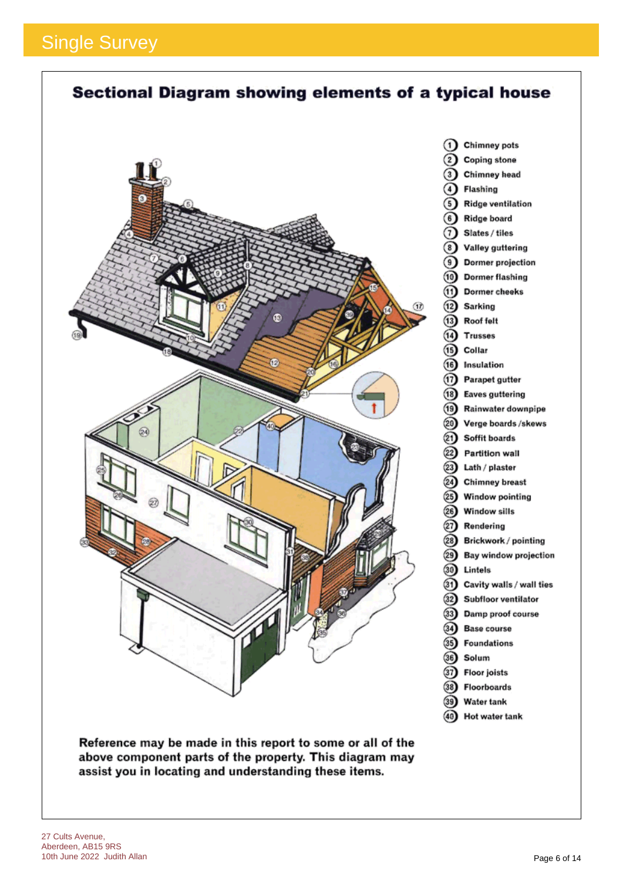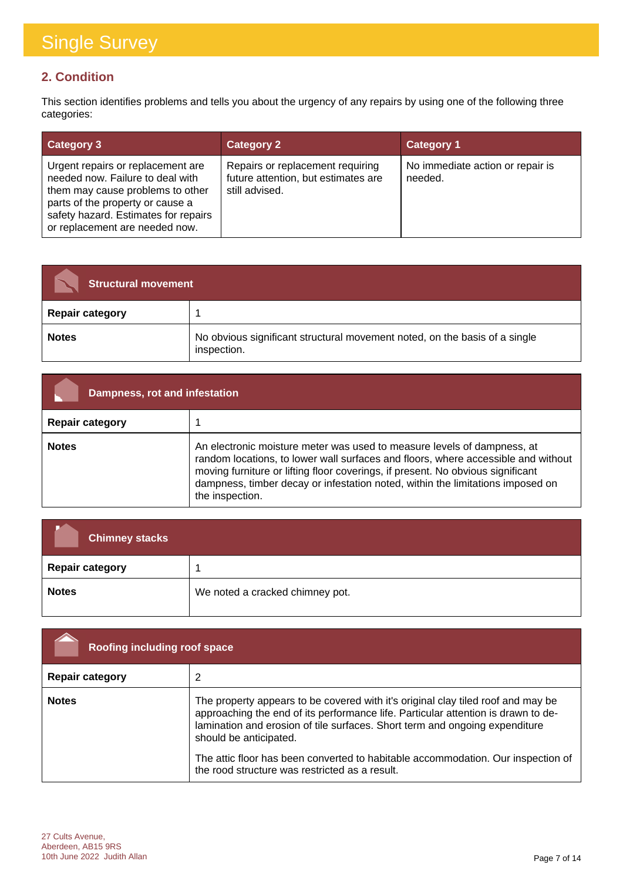### **2. Condition**

This section identifies problems and tells you about the urgency of any repairs by using one of the following three categories:

| <b>Category 3</b>                                                                                                                                                                                                       | <b>Category 2</b>                                                                         | <b>Category 1</b>                           |
|-------------------------------------------------------------------------------------------------------------------------------------------------------------------------------------------------------------------------|-------------------------------------------------------------------------------------------|---------------------------------------------|
| Urgent repairs or replacement are<br>needed now. Failure to deal with<br>them may cause problems to other<br>parts of the property or cause a<br>safety hazard. Estimates for repairs<br>or replacement are needed now. | Repairs or replacement requiring<br>future attention, but estimates are<br>still advised. | No immediate action or repair is<br>needed. |

| <b>Structural movement</b> |                                                                                           |
|----------------------------|-------------------------------------------------------------------------------------------|
| <b>Repair category</b>     |                                                                                           |
| <b>Notes</b>               | No obvious significant structural movement noted, on the basis of a single<br>inspection. |

| Dampness, rot and infestation |                                                                                                                                                                                                                                                                                                                                                      |
|-------------------------------|------------------------------------------------------------------------------------------------------------------------------------------------------------------------------------------------------------------------------------------------------------------------------------------------------------------------------------------------------|
| <b>Repair category</b>        |                                                                                                                                                                                                                                                                                                                                                      |
| <b>Notes</b>                  | An electronic moisture meter was used to measure levels of dampness, at<br>random locations, to lower wall surfaces and floors, where accessible and without<br>moving furniture or lifting floor coverings, if present. No obvious significant<br>dampness, timber decay or infestation noted, within the limitations imposed on<br>the inspection. |

| <b>Chimney stacks</b>  |                                 |
|------------------------|---------------------------------|
| <b>Repair category</b> |                                 |
| <b>Notes</b>           | We noted a cracked chimney pot. |

| Roofing including roof space |                                                                                                                                                                                                                                                                                                                                                                                                                      |
|------------------------------|----------------------------------------------------------------------------------------------------------------------------------------------------------------------------------------------------------------------------------------------------------------------------------------------------------------------------------------------------------------------------------------------------------------------|
| <b>Repair category</b>       | 2                                                                                                                                                                                                                                                                                                                                                                                                                    |
| <b>Notes</b>                 | The property appears to be covered with it's original clay tiled roof and may be<br>approaching the end of its performance life. Particular attention is drawn to de-<br>lamination and erosion of tile surfaces. Short term and ongoing expenditure<br>should be anticipated.<br>The attic floor has been converted to habitable accommodation. Our inspection of<br>the rood structure was restricted as a result. |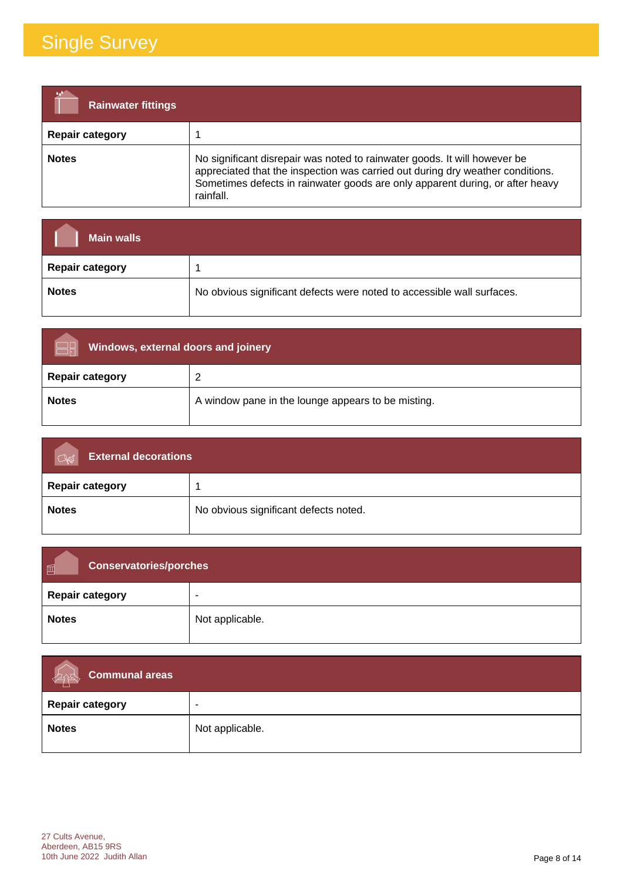| <b>Rainwater fittings</b> |                                                                                                                                                                                                                                                           |
|---------------------------|-----------------------------------------------------------------------------------------------------------------------------------------------------------------------------------------------------------------------------------------------------------|
| <b>Repair category</b>    |                                                                                                                                                                                                                                                           |
| <b>Notes</b>              | No significant disrepair was noted to rainwater goods. It will however be<br>appreciated that the inspection was carried out during dry weather conditions.<br>Sometimes defects in rainwater goods are only apparent during, or after heavy<br>rainfall. |

| <b>Main walls</b>      |                                                                        |
|------------------------|------------------------------------------------------------------------|
| <b>Repair category</b> |                                                                        |
| <b>Notes</b>           | No obvious significant defects were noted to accessible wall surfaces. |

| Windows, external doors and joinery |                                                    |
|-------------------------------------|----------------------------------------------------|
| <b>Repair category</b>              |                                                    |
| <b>Notes</b>                        | A window pane in the lounge appears to be misting. |

| <b>External decorations</b><br>$\alpha$ |                                       |
|-----------------------------------------|---------------------------------------|
| <b>Repair category</b>                  |                                       |
| <b>Notes</b>                            | No obvious significant defects noted. |

| 画<br><b>Conservatories/porches</b> |                          |
|------------------------------------|--------------------------|
| <b>Repair category</b>             | $\overline{\phantom{a}}$ |
| <b>Notes</b>                       | Not applicable.          |

| <b>Communal areas</b><br>PARS |                          |
|-------------------------------|--------------------------|
| <b>Repair category</b>        | $\overline{\phantom{a}}$ |
| <b>Notes</b>                  | Not applicable.          |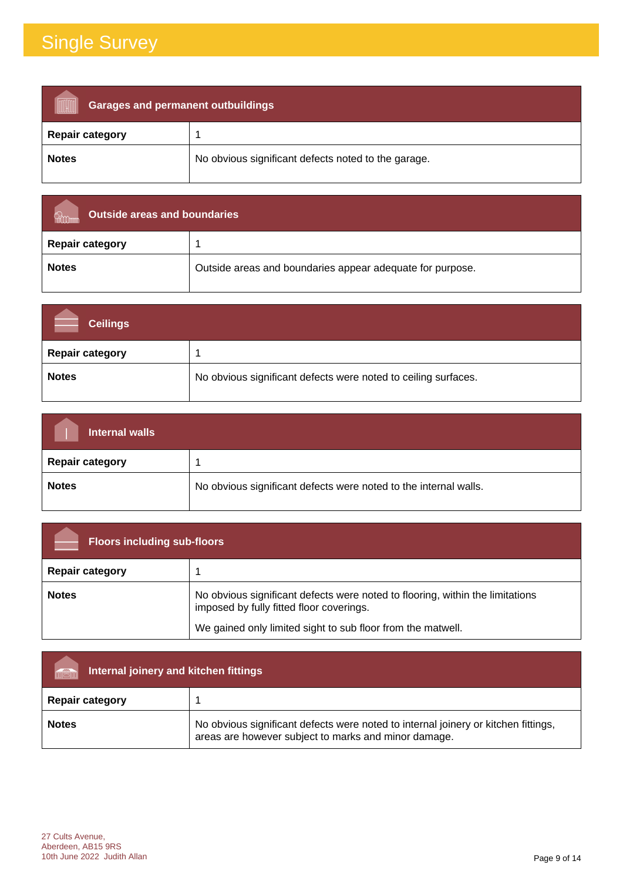| <b>Garages and permanent outbuildings</b> |                                                     |
|-------------------------------------------|-----------------------------------------------------|
| <b>Repair category</b>                    |                                                     |
| <b>Notes</b>                              | No obvious significant defects noted to the garage. |

| Outside areas and boundaries |                                                           |
|------------------------------|-----------------------------------------------------------|
| <b>Repair category</b>       |                                                           |
| <b>Notes</b>                 | Outside areas and boundaries appear adequate for purpose. |

| <b>Ceilings</b>        |                                                                |
|------------------------|----------------------------------------------------------------|
| <b>Repair category</b> |                                                                |
| <b>Notes</b>           | No obvious significant defects were noted to ceiling surfaces. |

| Internal walls         |                                                                  |
|------------------------|------------------------------------------------------------------|
| <b>Repair category</b> |                                                                  |
| <b>Notes</b>           | No obvious significant defects were noted to the internal walls. |

| <b>Floors including sub-floors</b> |                                                                                                                           |
|------------------------------------|---------------------------------------------------------------------------------------------------------------------------|
| <b>Repair category</b>             |                                                                                                                           |
| <b>Notes</b>                       | No obvious significant defects were noted to flooring, within the limitations<br>imposed by fully fitted floor coverings. |
|                                    | We gained only limited sight to sub floor from the matwell.                                                               |

| Internal joinery and kitchen fittings<br>THE |                                                                                                                                            |
|----------------------------------------------|--------------------------------------------------------------------------------------------------------------------------------------------|
| <b>Repair category</b>                       |                                                                                                                                            |
| <b>Notes</b>                                 | No obvious significant defects were noted to internal joinery or kitchen fittings,<br>areas are however subject to marks and minor damage. |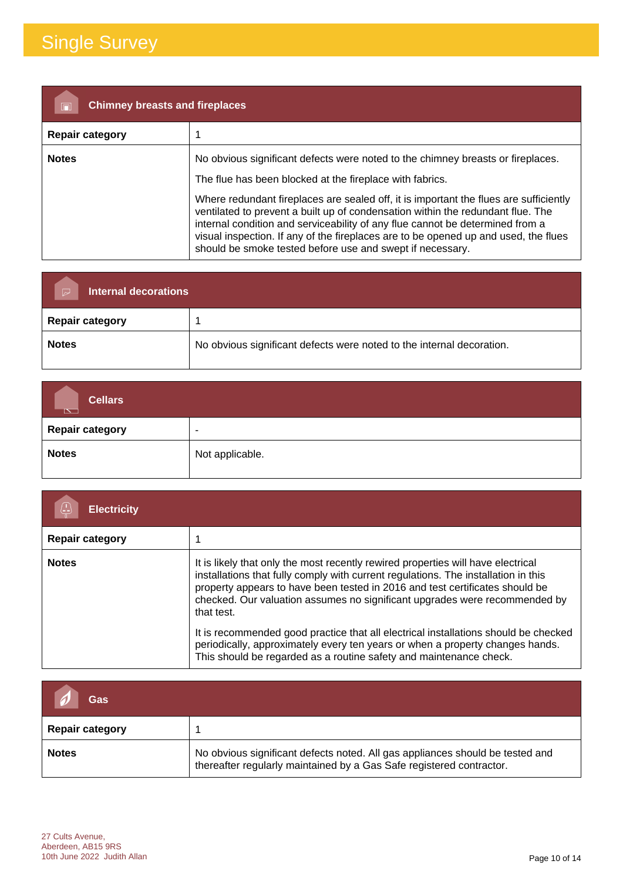| <b>Chimney breasts and fireplaces</b> |                                                                                                                                                                                                                                                                                                                                                                                                                                                                                                                                                              |
|---------------------------------------|--------------------------------------------------------------------------------------------------------------------------------------------------------------------------------------------------------------------------------------------------------------------------------------------------------------------------------------------------------------------------------------------------------------------------------------------------------------------------------------------------------------------------------------------------------------|
| <b>Repair category</b>                |                                                                                                                                                                                                                                                                                                                                                                                                                                                                                                                                                              |
| <b>Notes</b>                          | No obvious significant defects were noted to the chimney breasts or fireplaces.<br>The flue has been blocked at the fireplace with fabrics.<br>Where redundant fireplaces are sealed off, it is important the flues are sufficiently<br>ventilated to prevent a built up of condensation within the redundant flue. The<br>internal condition and serviceability of any flue cannot be determined from a<br>visual inspection. If any of the fireplaces are to be opened up and used, the flues<br>should be smoke tested before use and swept if necessary. |

| <b>Internal decorations</b><br>$\overline{\triangleright}$ |                                                                       |
|------------------------------------------------------------|-----------------------------------------------------------------------|
| <b>Repair category</b>                                     |                                                                       |
| <b>Notes</b>                                               | No obvious significant defects were noted to the internal decoration. |

| <b>Cellars</b><br>$\overline{\mathbb{R}}$ |                          |
|-------------------------------------------|--------------------------|
| <b>Repair category</b>                    | $\overline{\phantom{a}}$ |
| <b>Notes</b>                              | Not applicable.          |

| <b>Electricity</b>     |                                                                                                                                                                                                                                                                                                                                                    |
|------------------------|----------------------------------------------------------------------------------------------------------------------------------------------------------------------------------------------------------------------------------------------------------------------------------------------------------------------------------------------------|
| <b>Repair category</b> |                                                                                                                                                                                                                                                                                                                                                    |
| <b>Notes</b>           | It is likely that only the most recently rewired properties will have electrical<br>installations that fully comply with current regulations. The installation in this<br>property appears to have been tested in 2016 and test certificates should be<br>checked. Our valuation assumes no significant upgrades were recommended by<br>that test. |
|                        | It is recommended good practice that all electrical installations should be checked<br>periodically, approximately every ten years or when a property changes hands.<br>This should be regarded as a routine safety and maintenance check.                                                                                                         |

| Gas                    |                                                                                                                                                       |
|------------------------|-------------------------------------------------------------------------------------------------------------------------------------------------------|
| <b>Repair category</b> |                                                                                                                                                       |
| <b>Notes</b>           | No obvious significant defects noted. All gas appliances should be tested and<br>thereafter regularly maintained by a Gas Safe registered contractor. |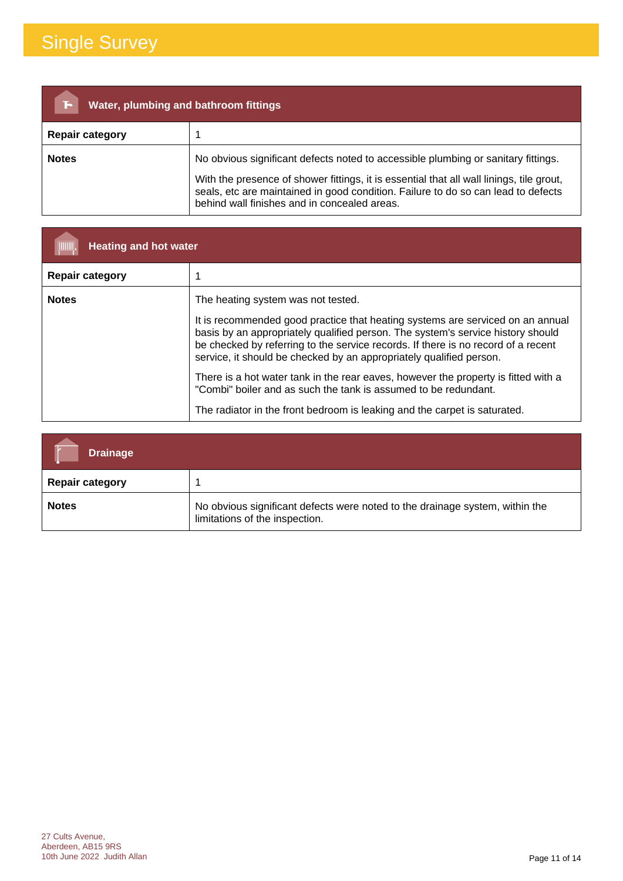| Water, plumbing and bathroom fittings<br>ïБ |                                                                                                                                                                                                                                                                                                                    |  |
|---------------------------------------------|--------------------------------------------------------------------------------------------------------------------------------------------------------------------------------------------------------------------------------------------------------------------------------------------------------------------|--|
| <b>Repair category</b>                      |                                                                                                                                                                                                                                                                                                                    |  |
| <b>Notes</b>                                | No obvious significant defects noted to accessible plumbing or sanitary fittings.<br>With the presence of shower fittings, it is essential that all wall linings, tile grout,<br>seals, etc are maintained in good condition. Failure to do so can lead to defects<br>behind wall finishes and in concealed areas. |  |

| <b>Heating and hot water</b> |                                                                                                                                                                                                                                                                                                                               |  |
|------------------------------|-------------------------------------------------------------------------------------------------------------------------------------------------------------------------------------------------------------------------------------------------------------------------------------------------------------------------------|--|
| <b>Repair category</b>       |                                                                                                                                                                                                                                                                                                                               |  |
| <b>Notes</b>                 | The heating system was not tested.                                                                                                                                                                                                                                                                                            |  |
|                              | It is recommended good practice that heating systems are serviced on an annual<br>basis by an appropriately qualified person. The system's service history should<br>be checked by referring to the service records. If there is no record of a recent<br>service, it should be checked by an appropriately qualified person. |  |
|                              | There is a hot water tank in the rear eaves, however the property is fitted with a<br>"Combi" boiler and as such the tank is assumed to be redundant.                                                                                                                                                                         |  |
|                              | The radiator in the front bedroom is leaking and the carpet is saturated.                                                                                                                                                                                                                                                     |  |

| <b>Drainage</b>        |                                                                                                                |
|------------------------|----------------------------------------------------------------------------------------------------------------|
| <b>Repair category</b> |                                                                                                                |
| <b>Notes</b>           | No obvious significant defects were noted to the drainage system, within the<br>limitations of the inspection. |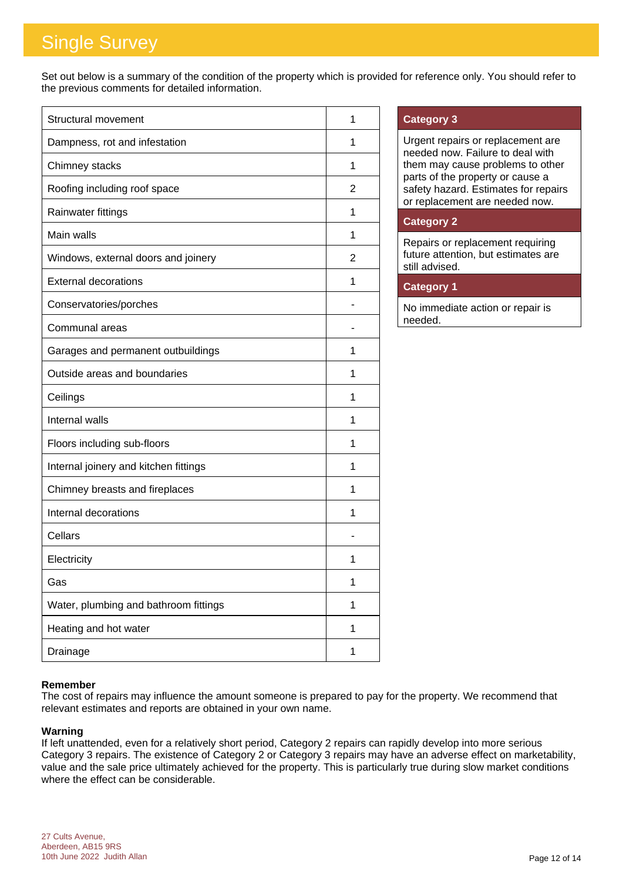Set out below is a summary of the condition of the property which is provided for reference only. You should refer to the previous comments for detailed information.

| <b>Structural movement</b>            | 1 |
|---------------------------------------|---|
| Dampness, rot and infestation         | 1 |
| Chimney stacks                        | 1 |
| Roofing including roof space          | 2 |
| Rainwater fittings                    | 1 |
| Main walls                            | 1 |
| Windows, external doors and joinery   | 2 |
| <b>External decorations</b>           | 1 |
| Conservatories/porches                |   |
| Communal areas                        |   |
| Garages and permanent outbuildings    | 1 |
| Outside areas and boundaries          | 1 |
| Ceilings                              | 1 |
| Internal walls                        | 1 |
| Floors including sub-floors           | 1 |
| Internal joinery and kitchen fittings | 1 |
| Chimney breasts and fireplaces        | 1 |
| Internal decorations                  | 1 |
| Cellars                               |   |
| Electricity                           | 1 |
| Gas                                   | 1 |
| Water, plumbing and bathroom fittings | 1 |
| Heating and hot water                 | 1 |
| Drainage                              | 1 |

### **Category 3**

Urgent repairs or replacement are needed now. Failure to deal with them may cause problems to other parts of the property or cause a safety hazard. Estimates for repairs or replacement are needed now.

### **Category 2**

Repairs or replacement requiring future attention, but estimates are still advised.

### **Category 1**

No immediate action or repair is needed.

### **Remember**

The cost of repairs may influence the amount someone is prepared to pay for the property. We recommend that relevant estimates and reports are obtained in your own name.

#### **Warning**

If left unattended, even for a relatively short period, Category 2 repairs can rapidly develop into more serious Category 3 repairs. The existence of Category 2 or Category 3 repairs may have an adverse effect on marketability, value and the sale price ultimately achieved for the property. This is particularly true during slow market conditions where the effect can be considerable.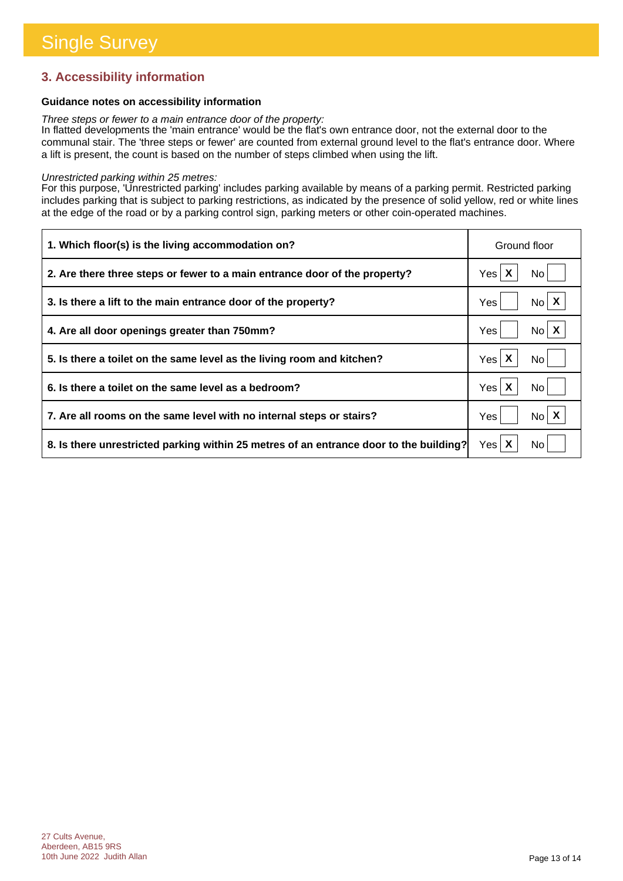### **3. Accessibility information**

### **Guidance notes on accessibility information**

*Three steps or fewer to a main entrance door of the property:*

In flatted developments the 'main entrance' would be the flat's own entrance door, not the external door to the communal stair. The 'three steps or fewer' are counted from external ground level to the flat's entrance door. Where a lift is present, the count is based on the number of steps climbed when using the lift.

#### *Unrestricted parking within 25 metres:*

For this purpose, 'Unrestricted parking' includes parking available by means of a parking permit. Restricted parking includes parking that is subject to parking restrictions, as indicated by the presence of solid yellow, red or white lines at the edge of the road or by a parking control sign, parking meters or other coin-operated machines.

| 1. Which floor(s) is the living accommodation on?                                      | Ground floor             |
|----------------------------------------------------------------------------------------|--------------------------|
| 2. Are there three steps or fewer to a main entrance door of the property?             | Yes X<br>No l            |
| 3. Is there a lift to the main entrance door of the property?                          | Yes<br>No l              |
| 4. Are all door openings greater than 750mm?                                           | No X<br>Yes              |
| 5. Is there a toilet on the same level as the living room and kitchen?                 | Yes $\mathsf{X}$<br>No l |
| 6. Is there a toilet on the same level as a bedroom?                                   | Yes $\mathsf{X}$<br>No.  |
| 7. Are all rooms on the same level with no internal steps or stairs?                   | No X<br>Yes              |
| 8. Is there unrestricted parking within 25 metres of an entrance door to the building? | Yes $\mathsf{X}$<br>No l |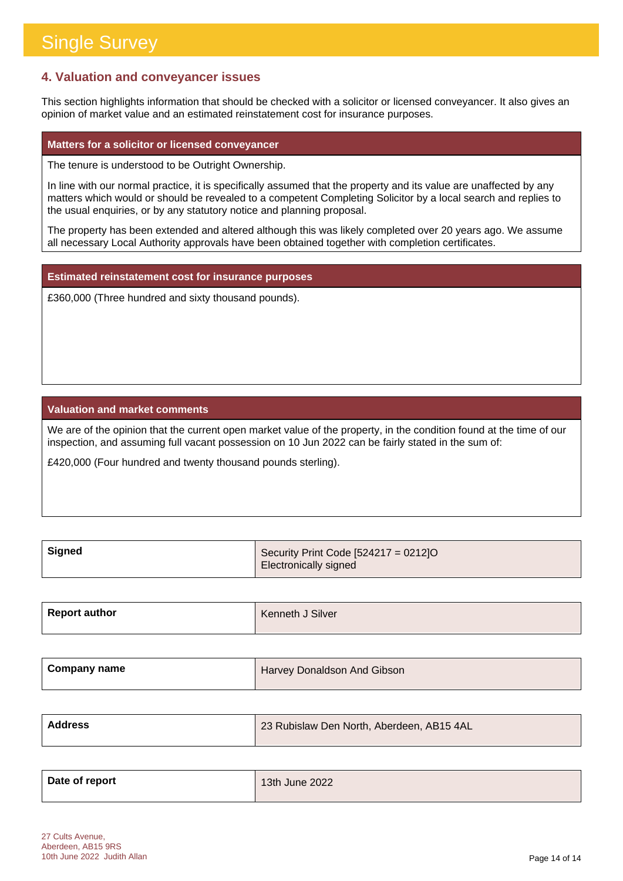### **4. Valuation and conveyancer issues**

This section highlights information that should be checked with a solicitor or licensed conveyancer. It also gives an opinion of market value and an estimated reinstatement cost for insurance purposes.

#### **Matters for a solicitor or licensed conveyancer**

The tenure is understood to be Outright Ownership.

In line with our normal practice, it is specifically assumed that the property and its value are unaffected by any matters which would or should be revealed to a competent Completing Solicitor by a local search and replies to the usual enquiries, or by any statutory notice and planning proposal.

The property has been extended and altered although this was likely completed over 20 years ago. We assume all necessary Local Authority approvals have been obtained together with completion certificates.

**Estimated reinstatement cost for insurance purposes**

£360,000 (Three hundred and sixty thousand pounds).

### **Valuation and market comments**

We are of the opinion that the current open market value of the property, in the condition found at the time of our inspection, and assuming full vacant possession on 10 Jun 2022 can be fairly stated in the sum of:

£420,000 (Four hundred and twenty thousand pounds sterling).

| , Signed | Security Print Code $[524217 = 0212]$ O |
|----------|-----------------------------------------|
|          | , Electronically signed i               |

| <b>Report author</b> | Kenneth J Silver |
|----------------------|------------------|
|                      |                  |

| <b>Company name</b> | Harvey Donaldson And Gibson |
|---------------------|-----------------------------|
|                     |                             |

| <b>Address</b> | 23 Rubislaw Den North, Aberdeen, AB15 4AL |
|----------------|-------------------------------------------|
|                |                                           |

| Date of report | 13th June 2022 |
|----------------|----------------|
|                |                |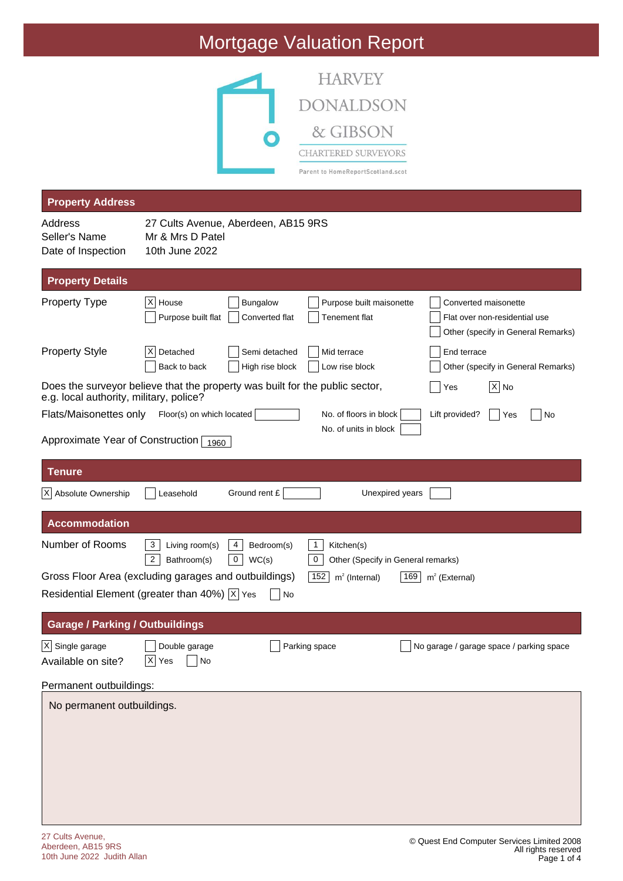# Mortgage Valuation Report



| <b>Property Address</b>                                                                                   |                                                                                                                                                                                                                    |  |  |
|-----------------------------------------------------------------------------------------------------------|--------------------------------------------------------------------------------------------------------------------------------------------------------------------------------------------------------------------|--|--|
| Address<br>Seller's Name<br>Date of Inspection                                                            | 27 Cults Avenue, Aberdeen, AB15 9RS<br>Mr & Mrs D Patel<br>10th June 2022                                                                                                                                          |  |  |
| <b>Property Details</b>                                                                                   |                                                                                                                                                                                                                    |  |  |
| <b>Property Type</b>                                                                                      | $ X $ House<br><b>Bungalow</b><br>Purpose built maisonette<br>Converted maisonette<br>Purpose built flat<br>Tenement flat<br>Converted flat<br>Flat over non-residential use<br>Other (specify in General Remarks) |  |  |
| <b>Property Style</b>                                                                                     | Detached<br>End terrace<br>$\vert X \vert$<br>Semi detached<br>Mid terrace<br>Back to back<br>High rise block<br>Low rise block<br>Other (specify in General Remarks)                                              |  |  |
| e.g. local authority, military, police?                                                                   | Does the surveyor believe that the property was built for the public sector,<br>$ X $ No<br>Yes                                                                                                                    |  |  |
| Flats/Maisonettes only                                                                                    | Floor(s) on which located<br>No. of floors in block<br>Lift provided?<br> Yes<br>No                                                                                                                                |  |  |
| Approximate Year of Construction 1960                                                                     | No. of units in block                                                                                                                                                                                              |  |  |
| Tenure                                                                                                    |                                                                                                                                                                                                                    |  |  |
| $ X $ Absolute Ownership                                                                                  | Ground rent £<br>Unexpired years<br>Leasehold                                                                                                                                                                      |  |  |
| <b>Accommodation</b>                                                                                      |                                                                                                                                                                                                                    |  |  |
| Number of Rooms                                                                                           | 3<br>4<br>$\mathbf{1}$<br>Living room(s)<br>Bedroom(s)<br>Kitchen(s)<br>$\overline{2}$<br>0<br>0<br>WC(s)<br>Bathroom(s)<br>Other (Specify in General remarks)                                                     |  |  |
| Gross Floor Area (excluding garages and outbuildings)<br>$m2$ (External)<br>152<br>$m2$ (Internal)<br>169 |                                                                                                                                                                                                                    |  |  |
|                                                                                                           | Residential Element (greater than 40%) $ \overline{x} $ Yes<br>No                                                                                                                                                  |  |  |
| <b>Garage / Parking / Outbuildings</b>                                                                    |                                                                                                                                                                                                                    |  |  |
| $\overline{X}$ Single garage<br>Available on site?                                                        | Parking space<br>Double garage<br>$\bigsqcup$ No garage / garage space / parking space<br>$X$ Yes $N$                                                                                                              |  |  |
| Permanent outbuildings:                                                                                   |                                                                                                                                                                                                                    |  |  |
| No permanent outbuildings.                                                                                |                                                                                                                                                                                                                    |  |  |
|                                                                                                           |                                                                                                                                                                                                                    |  |  |
|                                                                                                           |                                                                                                                                                                                                                    |  |  |
|                                                                                                           |                                                                                                                                                                                                                    |  |  |
|                                                                                                           |                                                                                                                                                                                                                    |  |  |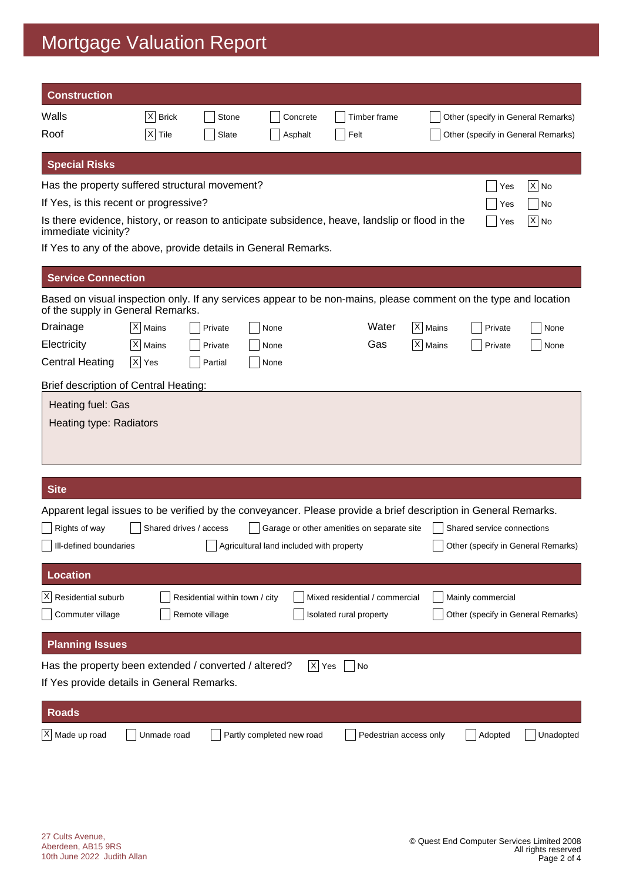# Mortgage Valuation Report

| <b>Construction</b>                                                                                                                                   |             |                                                  |                                          |                                                           |                      |                                    |                                    |
|-------------------------------------------------------------------------------------------------------------------------------------------------------|-------------|--------------------------------------------------|------------------------------------------|-----------------------------------------------------------|----------------------|------------------------------------|------------------------------------|
| Walls                                                                                                                                                 | $ X $ Brick | Stone                                            | Concrete                                 | Timber frame                                              |                      | Other (specify in General Remarks) |                                    |
| Roof                                                                                                                                                  | $ X $ Tile  | Slate                                            | Asphalt                                  | Felt                                                      |                      | Other (specify in General Remarks) |                                    |
| <b>Special Risks</b>                                                                                                                                  |             |                                                  |                                          |                                                           |                      |                                    |                                    |
| Has the property suffered structural movement?                                                                                                        |             |                                                  |                                          |                                                           |                      | Yes                                | $ \mathsf{X} $ No                  |
| If Yes, is this recent or progressive?                                                                                                                |             |                                                  |                                          |                                                           |                      | Yes                                | No                                 |
| Is there evidence, history, or reason to anticipate subsidence, heave, landslip or flood in the<br>$X $ No<br>Yes<br>immediate vicinity?              |             |                                                  |                                          |                                                           |                      |                                    |                                    |
| If Yes to any of the above, provide details in General Remarks.                                                                                       |             |                                                  |                                          |                                                           |                      |                                    |                                    |
| <b>Service Connection</b>                                                                                                                             |             |                                                  |                                          |                                                           |                      |                                    |                                    |
| Based on visual inspection only. If any services appear to be non-mains, please comment on the type and location<br>of the supply in General Remarks. |             |                                                  |                                          |                                                           |                      |                                    |                                    |
| Drainage                                                                                                                                              | $ X $ Mains | Private                                          | None                                     | Water                                                     | X   Mains            | Private                            | None                               |
| Electricity                                                                                                                                           | $ X $ Mains | Private                                          | None                                     | Gas                                                       | $ \mathsf{X} $ Mains | Private                            | None                               |
| <b>Central Heating</b>                                                                                                                                | $ X $ Yes   | Partial                                          | None                                     |                                                           |                      |                                    |                                    |
| Brief description of Central Heating:                                                                                                                 |             |                                                  |                                          |                                                           |                      |                                    |                                    |
| Heating fuel: Gas<br>Heating type: Radiators                                                                                                          |             |                                                  |                                          |                                                           |                      |                                    |                                    |
| <b>Site</b>                                                                                                                                           |             |                                                  |                                          |                                                           |                      |                                    |                                    |
| Apparent legal issues to be verified by the conveyancer. Please provide a brief description in General Remarks.                                       |             |                                                  |                                          |                                                           |                      |                                    |                                    |
| Rights of way                                                                                                                                         |             | Shared drives / access                           |                                          | Garage or other amenities on separate site                |                      | Shared service connections         |                                    |
| Ill-defined boundaries                                                                                                                                |             |                                                  | Agricultural land included with property |                                                           |                      |                                    | Other (specify in General Remarks) |
|                                                                                                                                                       |             |                                                  |                                          |                                                           |                      |                                    |                                    |
| <b>Location</b>                                                                                                                                       |             |                                                  |                                          |                                                           |                      |                                    |                                    |
| Residential suburb<br>$\vert X \vert$<br>Commuter village                                                                                             |             | Residential within town / city<br>Remote village |                                          | Mixed residential / commercial<br>Isolated rural property |                      | Mainly commercial                  | Other (specify in General Remarks) |
| <b>Planning Issues</b>                                                                                                                                |             |                                                  |                                          |                                                           |                      |                                    |                                    |
| Has the property been extended / converted / altered?                                                                                                 |             |                                                  |                                          | $ X $ Yes<br>No                                           |                      |                                    |                                    |
| If Yes provide details in General Remarks.                                                                                                            |             |                                                  |                                          |                                                           |                      |                                    |                                    |
| <b>Roads</b>                                                                                                                                          |             |                                                  |                                          |                                                           |                      |                                    |                                    |
| $X$ Made up road                                                                                                                                      | Unmade road |                                                  | Partly completed new road                | Pedestrian access only                                    |                      | Adopted                            | Unadopted                          |
|                                                                                                                                                       |             |                                                  |                                          |                                                           |                      |                                    |                                    |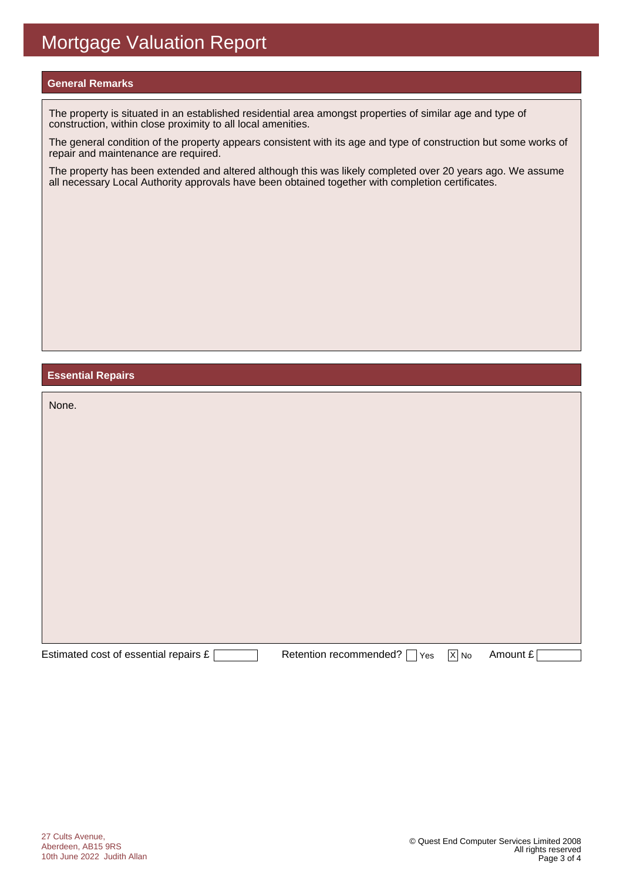#### **General Remarks**

The property is situated in an established residential area amongst properties of similar age and type of construction, within close proximity to all local amenities.

The general condition of the property appears consistent with its age and type of construction but some works of repair and maintenance are required.

The property has been extended and altered although this was likely completed over 20 years ago. We assume all necessary Local Authority approvals have been obtained together with completion certificates.

#### **Essential Repairs**

| None.                                 |                                                   |                   |          |
|---------------------------------------|---------------------------------------------------|-------------------|----------|
|                                       |                                                   |                   |          |
|                                       |                                                   |                   |          |
|                                       |                                                   |                   |          |
|                                       |                                                   |                   |          |
|                                       |                                                   |                   |          |
|                                       |                                                   |                   |          |
|                                       |                                                   |                   |          |
| Estimated cost of essential repairs £ | Retention recommended? [<br>Yes<br>$\blacksquare$ | $\overline{X}$ No | Amount £ |